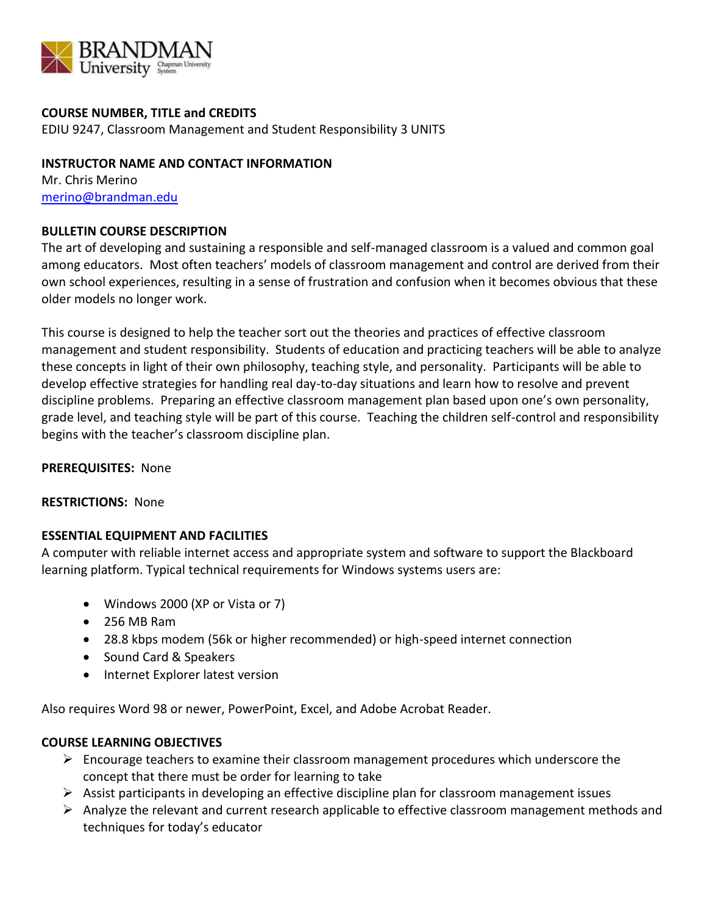

# **COURSE NUMBER, TITLE and CREDITS**

EDIU 9247, Classroom Management and Student Responsibility 3 UNITS

# **INSTRUCTOR NAME AND CONTACT INFORMATION**

Mr. Chris Merino [merino@brandman.edu](mailto:merino@brandman.edu)

# **BULLETIN COURSE DESCRIPTION**

The art of developing and sustaining a responsible and self-managed classroom is a valued and common goal among educators. Most often teachers' models of classroom management and control are derived from their own school experiences, resulting in a sense of frustration and confusion when it becomes obvious that these older models no longer work.

This course is designed to help the teacher sort out the theories and practices of effective classroom management and student responsibility. Students of education and practicing teachers will be able to analyze these concepts in light of their own philosophy, teaching style, and personality. Participants will be able to develop effective strategies for handling real day-to-day situations and learn how to resolve and prevent discipline problems. Preparing an effective classroom management plan based upon one's own personality, grade level, and teaching style will be part of this course. Teaching the children self-control and responsibility begins with the teacher's classroom discipline plan.

## **PREREQUISITES:** None

## **RESTRICTIONS:** None

# **ESSENTIAL EQUIPMENT AND FACILITIES**

A computer with reliable internet access and appropriate system and software to support the Blackboard learning platform. Typical technical requirements for Windows systems users are:

- Windows 2000 (XP or Vista or 7)
- 256 MB Ram
- 28.8 kbps modem (56k or higher recommended) or high-speed internet connection
- Sound Card & Speakers
- Internet Explorer latest version

Also requires Word 98 or newer, PowerPoint, Excel, and Adobe Acrobat Reader.

# **COURSE LEARNING OBJECTIVES**

- $\triangleright$  Encourage teachers to examine their classroom management procedures which underscore the concept that there must be order for learning to take
- $\triangleright$  Assist participants in developing an effective discipline plan for classroom management issues
- $\triangleright$  Analyze the relevant and current research applicable to effective classroom management methods and techniques for today's educator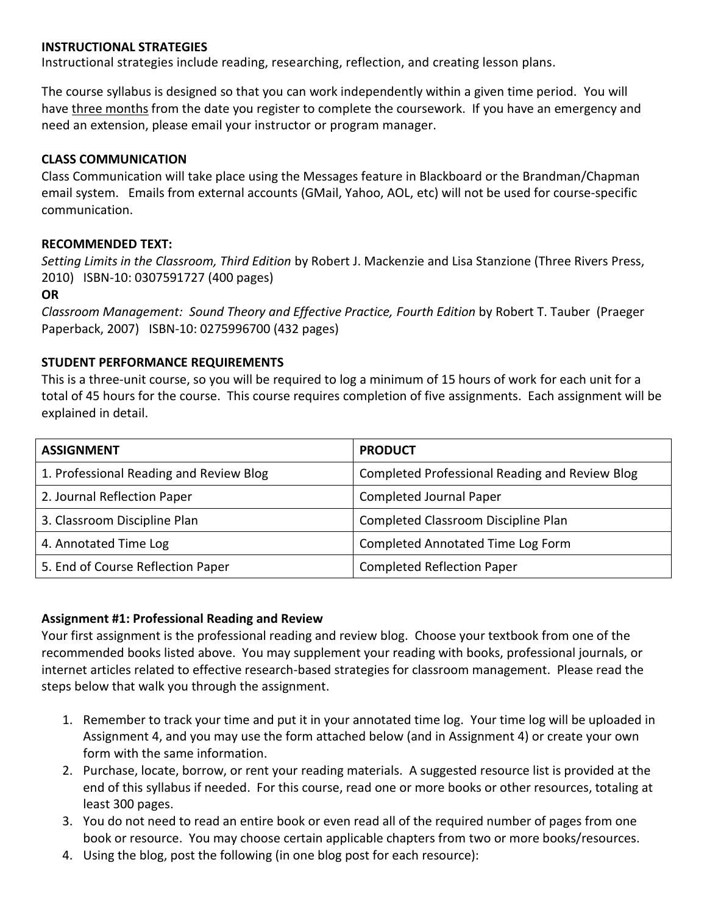### **INSTRUCTIONAL STRATEGIES**

Instructional strategies include reading, researching, reflection, and creating lesson plans.

The course syllabus is designed so that you can work independently within a given time period. You will have three months from the date you register to complete the coursework. If you have an emergency and need an extension, please email your instructor or program manager.

#### **CLASS COMMUNICATION**

Class Communication will take place using the Messages feature in Blackboard or the Brandman/Chapman email system. Emails from external accounts (GMail, Yahoo, AOL, etc) will not be used for course-specific communication.

#### **RECOMMENDED TEXT:**

*Setting Limits in the Classroom, Third Edition* by Robert J. Mackenzie and Lisa Stanzione (Three Rivers Press, 2010) ISBN-10: 0307591727 (400 pages)

#### **OR**

*Classroom Management: Sound Theory and Effective Practice, Fourth Edition* by Robert T. Tauber (Praeger Paperback, 2007) ISBN-10: 0275996700 (432 pages)

## **STUDENT PERFORMANCE REQUIREMENTS**

This is a three-unit course, so you will be required to log a minimum of 15 hours of work for each unit for a total of 45 hours for the course. This course requires completion of five assignments. Each assignment will be explained in detail.

| <b>ASSIGNMENT</b>                       | <b>PRODUCT</b>                                        |
|-----------------------------------------|-------------------------------------------------------|
| 1. Professional Reading and Review Blog | <b>Completed Professional Reading and Review Blog</b> |
| 2. Journal Reflection Paper             | <b>Completed Journal Paper</b>                        |
| 3. Classroom Discipline Plan            | Completed Classroom Discipline Plan                   |
| 4. Annotated Time Log                   | Completed Annotated Time Log Form                     |
| 5. End of Course Reflection Paper       | <b>Completed Reflection Paper</b>                     |

## **Assignment #1: Professional Reading and Review**

Your first assignment is the professional reading and review blog. Choose your textbook from one of the recommended books listed above. You may supplement your reading with books, professional journals, or internet articles related to effective research-based strategies for classroom management. Please read the steps below that walk you through the assignment.

- 1. Remember to track your time and put it in your annotated time log. Your time log will be uploaded in Assignment 4, and you may use the form attached below (and in Assignment 4) or create your own form with the same information.
- 2. Purchase, locate, borrow, or rent your reading materials. A suggested resource list is provided at the end of this syllabus if needed. For this course, read one or more books or other resources, totaling at least 300 pages.
- 3. You do not need to read an entire book or even read all of the required number of pages from one book or resource. You may choose certain applicable chapters from two or more books/resources.
- 4. Using the blog, post the following (in one blog post for each resource):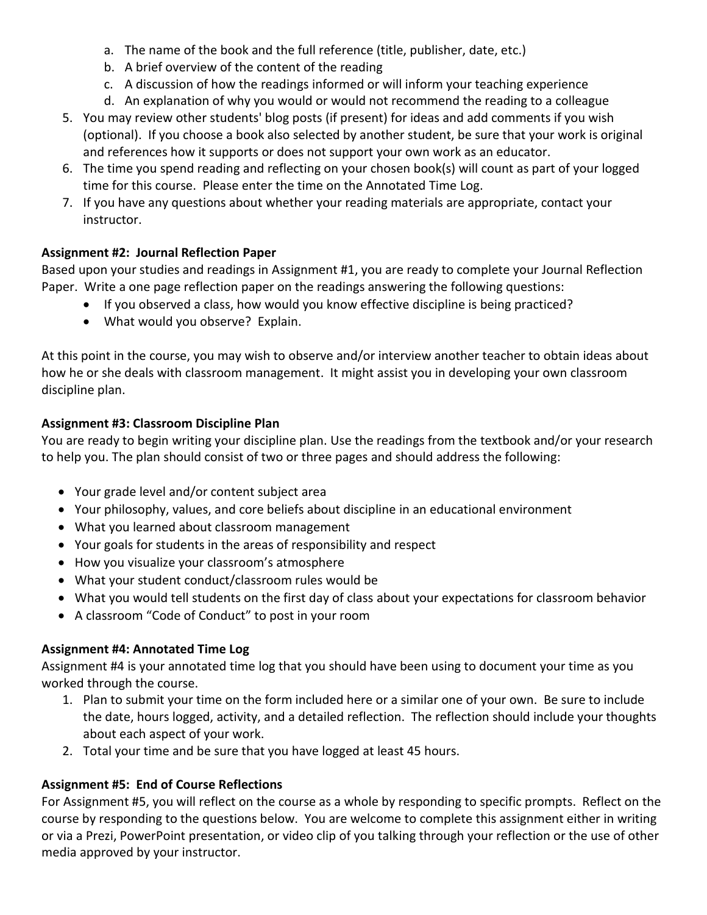- a. The name of the book and the full reference (title, publisher, date, etc.)
- b. A brief overview of the content of the reading
- c. A discussion of how the readings informed or will inform your teaching experience
- d. An explanation of why you would or would not recommend the reading to a colleague
- 5. You may review other students' blog posts (if present) for ideas and add comments if you wish (optional). If you choose a book also selected by another student, be sure that your work is original and references how it supports or does not support your own work as an educator.
- 6. The time you spend reading and reflecting on your chosen book(s) will count as part of your logged time for this course. Please enter the time on the Annotated Time Log.
- 7. If you have any questions about whether your reading materials are appropriate, contact your instructor.

# **Assignment #2: Journal Reflection Paper**

Based upon your studies and readings in Assignment #1, you are ready to complete your Journal Reflection Paper. Write a one page reflection paper on the readings answering the following questions:

- If you observed a class, how would you know effective discipline is being practiced?
- What would you observe? Explain.

At this point in the course, you may wish to observe and/or interview another teacher to obtain ideas about how he or she deals with classroom management. It might assist you in developing your own classroom discipline plan.

# **Assignment #3: Classroom Discipline Plan**

You are ready to begin writing your discipline plan. Use the readings from the textbook and/or your research to help you. The plan should consist of two or three pages and should address the following:

- Your grade level and/or content subject area
- Your philosophy, values, and core beliefs about discipline in an educational environment
- What you learned about classroom management
- Your goals for students in the areas of responsibility and respect
- How you visualize your classroom's atmosphere
- What your student conduct/classroom rules would be
- What you would tell students on the first day of class about your expectations for classroom behavior
- A classroom "Code of Conduct" to post in your room

# **Assignment #4: Annotated Time Log**

Assignment #4 is your annotated time log that you should have been using to document your time as you worked through the course.

- 1. Plan to submit your time on the form included here or a similar one of your own. Be sure to include the date, hours logged, activity, and a detailed reflection. The reflection should include your thoughts about each aspect of your work.
- 2. Total your time and be sure that you have logged at least 45 hours.

# **Assignment #5: End of Course Reflections**

For Assignment #5, you will reflect on the course as a whole by responding to specific prompts. Reflect on the course by responding to the questions below. You are welcome to complete this assignment either in writing or via a Prezi, PowerPoint presentation, or video clip of you talking through your reflection or the use of other media approved by your instructor.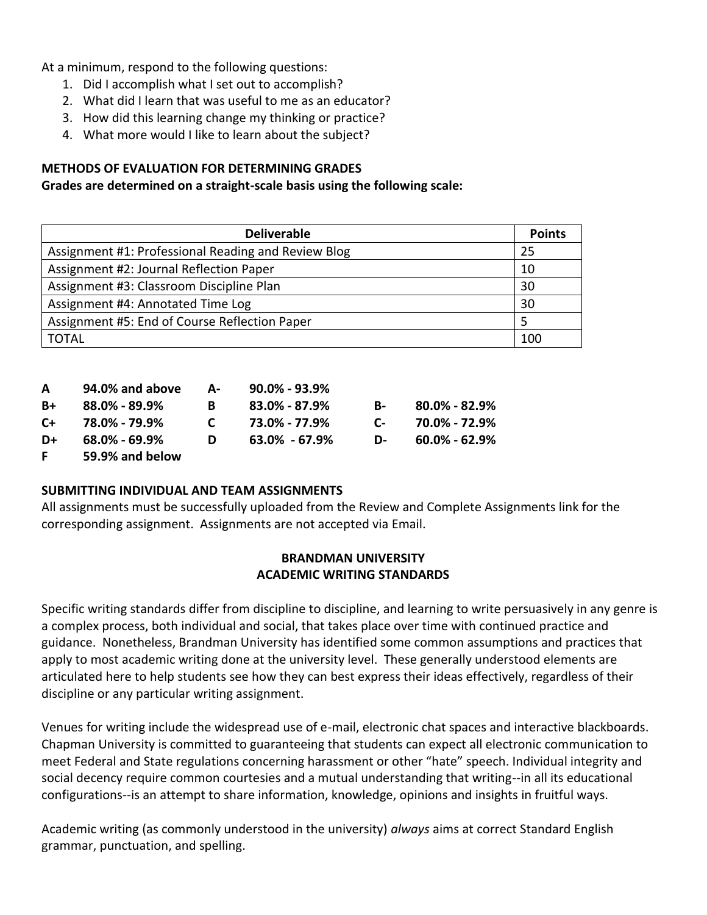At a minimum, respond to the following questions:

- 1. Did I accomplish what I set out to accomplish?
- 2. What did I learn that was useful to me as an educator?
- 3. How did this learning change my thinking or practice?
- 4. What more would I like to learn about the subject?

# **METHODS OF EVALUATION FOR DETERMINING GRADES**

# **Grades are determined on a straight-scale basis using the following scale:**

| <b>Deliverable</b>                                  | <b>Points</b> |
|-----------------------------------------------------|---------------|
| Assignment #1: Professional Reading and Review Blog | 25            |
| Assignment #2: Journal Reflection Paper             | 10            |
| Assignment #3: Classroom Discipline Plan            | 30            |
| Assignment #4: Annotated Time Log                   | 30            |
| Assignment #5: End of Course Reflection Paper       |               |
| <b>TOTAL</b>                                        | 100           |

| A    | 94.0% and above     | А- | 90.0% - 93.9% |      |                     |
|------|---------------------|----|---------------|------|---------------------|
| $B+$ | 88.0% - 89.9%       | B. | 83.0% - 87.9% | B- 1 | $80.0\%$ - 82.9%    |
| $C+$ | 78.0% - 79.9%       | C. | 73.0% - 77.9% | C-   | 70.0% - 72.9%       |
| D+   | $68.0\%$ - $69.9\%$ | D  | 63.0% - 67.9% | D-   | $60.0\%$ - $62.9\%$ |
| F.   | 59.9% and below     |    |               |      |                     |

## **SUBMITTING INDIVIDUAL AND TEAM ASSIGNMENTS**

All assignments must be successfully uploaded from the Review and Complete Assignments link for the corresponding assignment. Assignments are not accepted via Email.

# **BRANDMAN UNIVERSITY ACADEMIC WRITING STANDARDS**

Specific writing standards differ from discipline to discipline, and learning to write persuasively in any genre is a complex process, both individual and social, that takes place over time with continued practice and guidance. Nonetheless, Brandman University has identified some common assumptions and practices that apply to most academic writing done at the university level. These generally understood elements are articulated here to help students see how they can best express their ideas effectively, regardless of their discipline or any particular writing assignment.

Venues for writing include the widespread use of e-mail, electronic chat spaces and interactive blackboards. Chapman University is committed to guaranteeing that students can expect all electronic communication to meet Federal and State regulations concerning harassment or other "hate" speech. Individual integrity and social decency require common courtesies and a mutual understanding that writing--in all its educational configurations--is an attempt to share information, knowledge, opinions and insights in fruitful ways.

Academic writing (as commonly understood in the university) *always* aims at correct Standard English grammar, punctuation, and spelling.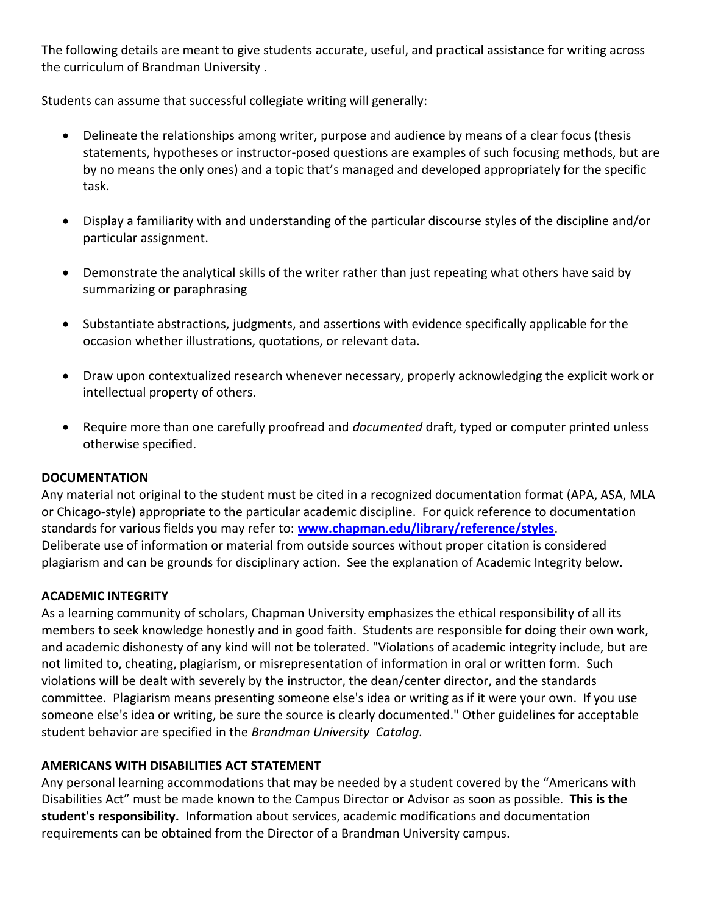The following details are meant to give students accurate, useful, and practical assistance for writing across the curriculum of Brandman University .

Students can assume that successful collegiate writing will generally:

- Delineate the relationships among writer, purpose and audience by means of a clear focus (thesis statements, hypotheses or instructor-posed questions are examples of such focusing methods, but are by no means the only ones) and a topic that's managed and developed appropriately for the specific task.
- Display a familiarity with and understanding of the particular discourse styles of the discipline and/or particular assignment.
- Demonstrate the analytical skills of the writer rather than just repeating what others have said by summarizing or paraphrasing
- Substantiate abstractions, judgments, and assertions with evidence specifically applicable for the occasion whether illustrations, quotations, or relevant data.
- Draw upon contextualized research whenever necessary, properly acknowledging the explicit work or intellectual property of others.
- Require more than one carefully proofread and *documented* draft, typed or computer printed unless otherwise specified.

# **DOCUMENTATION**

Any material not original to the student must be cited in a recognized documentation format (APA, ASA, MLA or Chicago-style) appropriate to the particular academic discipline. For quick reference to documentation standards for various fields you may refer to: **[www.chapman.edu/library/reference/styles](http://www.chapman.edu/library/reference/styles)**. Deliberate use of information or material from outside sources without proper citation is considered plagiarism and can be grounds for disciplinary action. See the explanation of Academic Integrity below.

## **ACADEMIC INTEGRITY**

As a learning community of scholars, Chapman University emphasizes the ethical responsibility of all its members to seek knowledge honestly and in good faith. Students are responsible for doing their own work, and academic dishonesty of any kind will not be tolerated. "Violations of academic integrity include, but are not limited to, cheating, plagiarism, or misrepresentation of information in oral or written form. Such violations will be dealt with severely by the instructor, the dean/center director, and the standards committee. Plagiarism means presenting someone else's idea or writing as if it were your own. If you use someone else's idea or writing, be sure the source is clearly documented." Other guidelines for acceptable student behavior are specified in the *Brandman University Catalog.*

# **AMERICANS WITH DISABILITIES ACT STATEMENT**

Any personal learning accommodations that may be needed by a student covered by the "Americans with Disabilities Act" must be made known to the Campus Director or Advisor as soon as possible. **This is the student's responsibility.** Information about services, academic modifications and documentation requirements can be obtained from the Director of a Brandman University campus.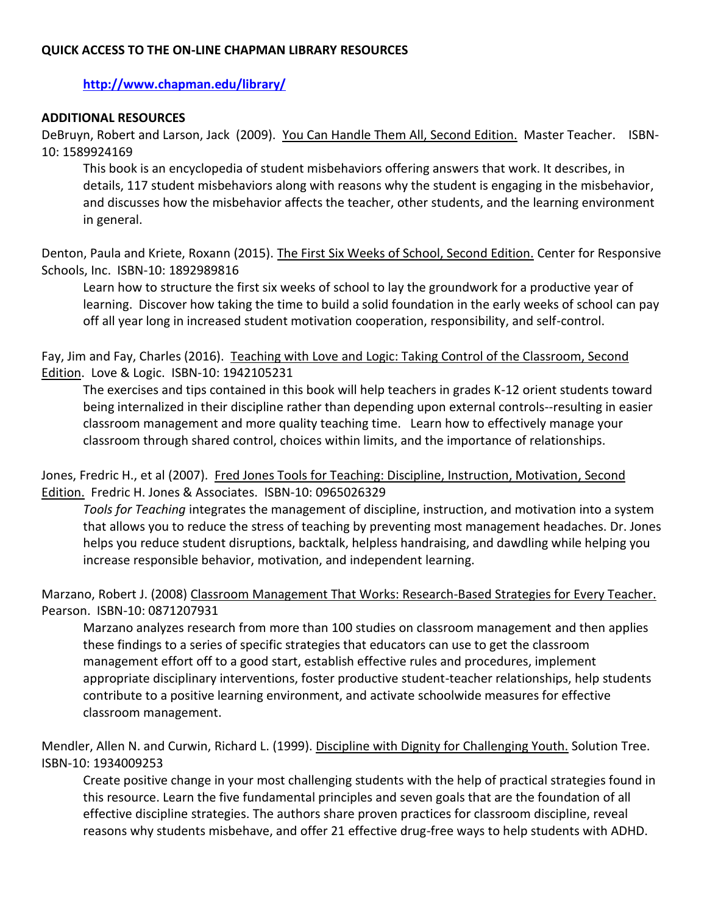# **QUICK ACCESS TO THE ON-LINE CHAPMAN LIBRARY RESOURCES**

**<http://www.chapman.edu/library/>**

# **ADDITIONAL RESOURCES**

DeBruyn, Robert and Larson, Jack (2009). You Can Handle Them All, Second Edition. Master Teacher. ISBN-10: 1589924169

This book is an encyclopedia of student misbehaviors offering answers that work. It describes, in details, 117 student misbehaviors along with reasons why the student is engaging in the misbehavior, and discusses how the misbehavior affects the teacher, other students, and the learning environment in general.

Denton, Paula and Kriete, Roxann (2015). The First Six Weeks of School, Second Edition. Center for Responsive Schools, Inc. ISBN-10: 1892989816

Learn how to structure the first six weeks of school to lay the groundwork for a productive year of learning. Discover how taking the time to build a solid foundation in the early weeks of school can pay off all year long in increased student motivation cooperation, responsibility, and self-control.

Fay, Jim and Fay, Charles (2016). Teaching with Love and Logic: Taking Control of the Classroom, Second Edition. Love & Logic. ISBN-10: 1942105231

The exercises and tips contained in this book will help teachers in grades K-12 orient students toward being internalized in their discipline rather than depending upon external controls--resulting in easier classroom management and more quality teaching time. Learn how to effectively manage your classroom through shared control, choices within limits, and the importance of relationships.

Jones, Fredric H., et al (2007). Fred Jones Tools for Teaching: Discipline, Instruction, Motivation, Second Edition. Fredric H. Jones & Associates. ISBN-10: 0965026329

*Tools for Teaching* integrates the management of discipline, instruction, and motivation into a system that allows you to reduce the stress of teaching by preventing most management headaches. Dr. Jones helps you reduce student disruptions, backtalk, helpless handraising, and dawdling while helping you increase responsible behavior, motivation, and independent learning.

# Marzano, Robert J. (2008) Classroom Management That Works: Research-Based Strategies for Every Teacher. Pearson. ISBN-10: 0871207931

Marzano analyzes research from more than 100 studies on classroom management and then applies these findings to a series of specific strategies that educators can use to get the classroom management effort off to a good start, establish effective rules and procedures, implement appropriate disciplinary interventions, foster productive student-teacher relationships, help students contribute to a positive learning environment, and activate schoolwide measures for effective classroom management.

Mendler, Allen N. and Curwin, Richard L. (1999). Discipline with Dignity for Challenging Youth. Solution Tree. ISBN-10: 1934009253

Create positive change in your most challenging students with the help of practical strategies found in this resource. Learn the five fundamental principles and seven goals that are the foundation of all effective discipline strategies. The authors share proven practices for classroom discipline, reveal reasons why students misbehave, and offer 21 effective drug-free ways to help students with ADHD.